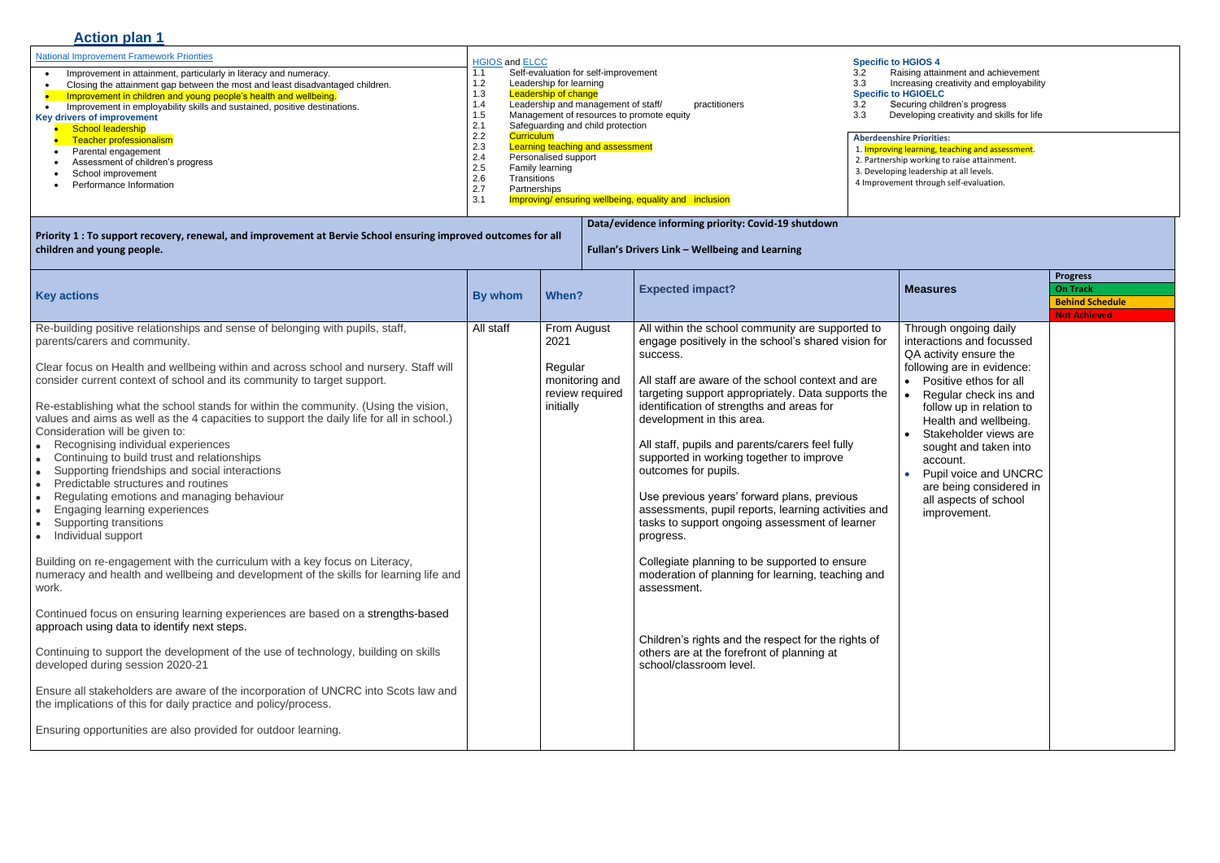# **Action plan 1**

ng attainment and achievement 3.3 Increasing creativity and employability 3.2 Securing children's progress

| <b>National Improvement Framework Priorities</b>                                                                                                                                                                                                                                                                                                                                                                                                                                                                    | <b>HGIOS and ELCC</b>                                                                                                                                                                                                                                                                                                                                                                                                                                                                                                                  | <b>Specific to HGIOS 4</b>                                                                                                                                                                                                                                                                |
|---------------------------------------------------------------------------------------------------------------------------------------------------------------------------------------------------------------------------------------------------------------------------------------------------------------------------------------------------------------------------------------------------------------------------------------------------------------------------------------------------------------------|----------------------------------------------------------------------------------------------------------------------------------------------------------------------------------------------------------------------------------------------------------------------------------------------------------------------------------------------------------------------------------------------------------------------------------------------------------------------------------------------------------------------------------------|-------------------------------------------------------------------------------------------------------------------------------------------------------------------------------------------------------------------------------------------------------------------------------------------|
| Improvement in attainment, particularly in literacy and numeracy.<br>Closing the attainment gap between the most and least disadvantaged children.<br>Improvement in children and young people's health and wellbeing.<br>Improvement in employability skills and sustained, positive destinations.<br><b>Key drivers of improvement</b><br><b>School leadership</b><br><b>Teacher professionalism</b><br>Parental engagement<br>Assessment of children's progress<br>School improvement<br>Performance Information | Self-evaluation for self-improvement<br>1.1<br>1.2<br>Leadership for learning<br><b>Leadership of change</b><br>1.3<br>Leadership and management of staff/<br>practitioners<br>1.4<br>Management of resources to promote equity<br>1.5<br>2.1<br>Safeguarding and child protection<br>2.2<br><b>Curriculum</b><br>2.3<br><b>Learning teaching and assessment</b><br>2.4<br>Personalised support<br>2.5<br>Family learning<br>2.6<br>Transitions<br>2.7<br>Partnerships<br>Improving/ ensuring wellbeing, equality and inclusion<br>3.1 | Raising attain<br>3.2<br>3.3<br>Increasing cre<br><b>Specific to HGIOELC</b><br>Securing child<br>$3.2^{\circ}$<br>3.3<br>Developing cr<br><b>Aberdeenshire Priorities</b><br>1. Improving learning, te<br>2. Partnership working to<br>3. Developing leadership<br>4 Improvement through |

3.3 Developing creativity and skills for life

## **Priorities:**

### 1. Improving learning, teaching and assessment.

2. Partnership working to raise attainment.

adership at all levels.

through self-evaluation.

| Priority 1 : To support recovery, renewal, and improvement at Bervie School ensuring improved outcomes for all |
|----------------------------------------------------------------------------------------------------------------|
| children and young people.                                                                                     |

**Data/evidence informing priority: Covid-19 shutdown**

**Fullan's Drivers Link – Wellbeing and Learning**

| <b>Key actions</b>                                                                                                                                                                                                                                                                                                                                                                                                                                                                                                                                                                                                                                                                                                                                                                                                                                                                                                                                                                                                                                                                                                                                                                                                                                                                                                                                                                                                                                                                                                                                                              | By whom   | When?                                                                            | <b>Expected impact?</b>                                                                                                                                                                                                                                                                                                                                                                                                                                                                                                                                                                                                                                                                                                                                                                                                                                   | <b>Measures</b>                                                                                                                                                                                                                                                                                                                                                               | <b>Progress</b><br><b>On Track</b><br><b>Behind Schedule</b><br><b>Not Achieved</b> |
|---------------------------------------------------------------------------------------------------------------------------------------------------------------------------------------------------------------------------------------------------------------------------------------------------------------------------------------------------------------------------------------------------------------------------------------------------------------------------------------------------------------------------------------------------------------------------------------------------------------------------------------------------------------------------------------------------------------------------------------------------------------------------------------------------------------------------------------------------------------------------------------------------------------------------------------------------------------------------------------------------------------------------------------------------------------------------------------------------------------------------------------------------------------------------------------------------------------------------------------------------------------------------------------------------------------------------------------------------------------------------------------------------------------------------------------------------------------------------------------------------------------------------------------------------------------------------------|-----------|----------------------------------------------------------------------------------|-----------------------------------------------------------------------------------------------------------------------------------------------------------------------------------------------------------------------------------------------------------------------------------------------------------------------------------------------------------------------------------------------------------------------------------------------------------------------------------------------------------------------------------------------------------------------------------------------------------------------------------------------------------------------------------------------------------------------------------------------------------------------------------------------------------------------------------------------------------|-------------------------------------------------------------------------------------------------------------------------------------------------------------------------------------------------------------------------------------------------------------------------------------------------------------------------------------------------------------------------------|-------------------------------------------------------------------------------------|
| Re-building positive relationships and sense of belonging with pupils, staff,<br>parents/carers and community.<br>Clear focus on Health and wellbeing within and across school and nursery. Staff will<br>consider current context of school and its community to target support.<br>Re-establishing what the school stands for within the community. (Using the vision,<br>values and aims as well as the 4 capacities to support the daily life for all in school.)<br>Consideration will be given to:<br>• Recognising individual experiences<br>Continuing to build trust and relationships<br>$\bullet$<br>Supporting friendships and social interactions<br>$\bullet$<br>Predictable structures and routines<br>$\bullet$<br>Regulating emotions and managing behaviour<br>$\bullet$<br>Engaging learning experiences<br>$\bullet$<br>Supporting transitions<br>$\bullet$<br>• Individual support<br>Building on re-engagement with the curriculum with a key focus on Literacy,<br>numeracy and health and wellbeing and development of the skills for learning life and<br>work.<br>Continued focus on ensuring learning experiences are based on a strengths-based<br>approach using data to identify next steps.<br>Continuing to support the development of the use of technology, building on skills<br>developed during session 2020-21<br>Ensure all stakeholders are aware of the incorporation of UNCRC into Scots law and<br>the implications of this for daily practice and policy/process.<br>Ensuring opportunities are also provided for outdoor learning. | All staff | From August<br>2021<br>Regular<br>monitoring and<br>review required<br>initially | All within the school community are supported to<br>engage positively in the school's shared vision for<br>success.<br>All staff are aware of the school context and are<br>targeting support appropriately. Data supports the<br>identification of strengths and areas for<br>development in this area.<br>All staff, pupils and parents/carers feel fully<br>supported in working together to improve<br>outcomes for pupils.<br>Use previous years' forward plans, previous<br>assessments, pupil reports, learning activities and<br>tasks to support ongoing assessment of learner<br>progress.<br>Collegiate planning to be supported to ensure<br>moderation of planning for learning, teaching and<br>assessment.<br>Children's rights and the respect for the rights of<br>others are at the forefront of planning at<br>school/classroom level. | Through ongoing daily<br>interactions and focussed<br>QA activity ensure the<br>following are in evidence:<br>Positive ethos for all<br>Regular check ins and<br>follow up in relation to<br>Health and wellbeing.<br>Stakeholder views are<br>sought and taken into<br>account.<br>Pupil voice and UNCRC<br>are being considered in<br>all aspects of school<br>improvement. |                                                                                     |

## **SIOS 4**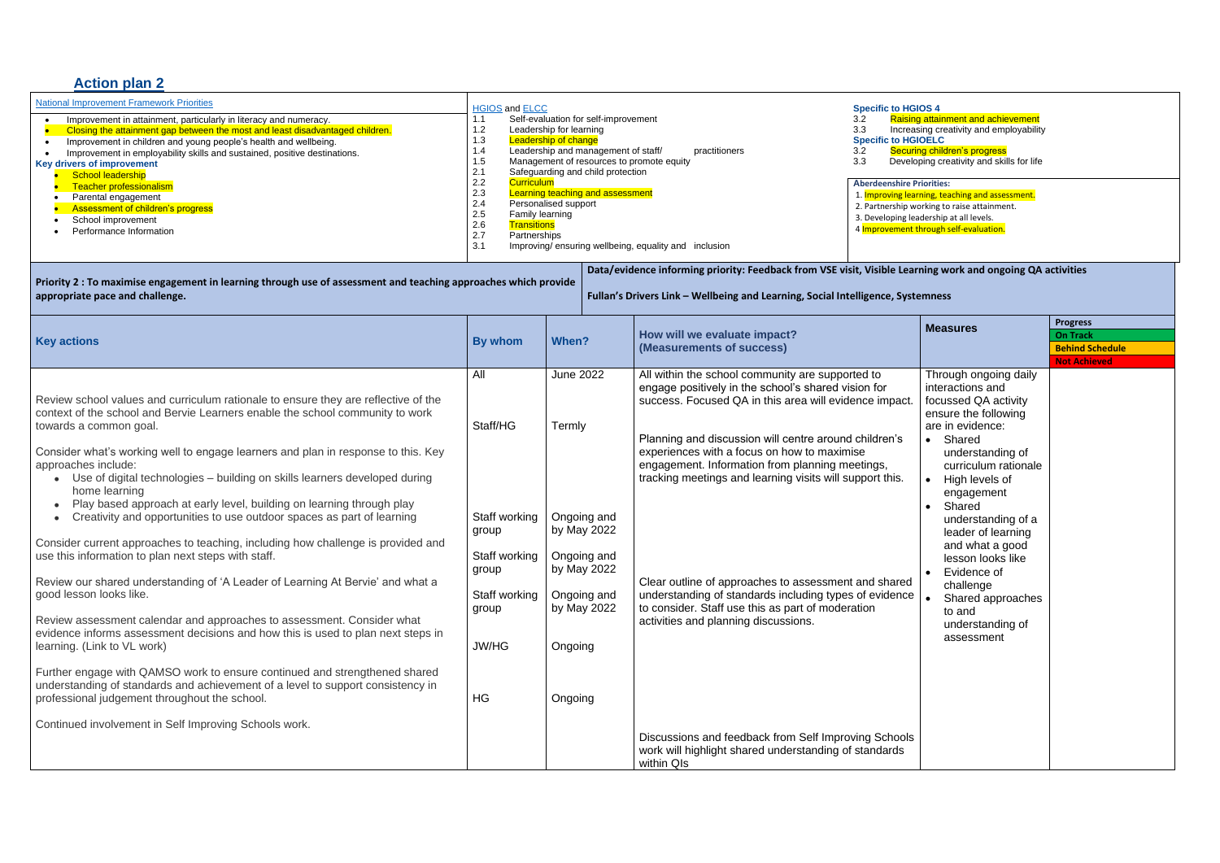# **Action plan 2**

| <b>National Improvement Framework Priorities</b><br>Improvement in attainment, particularly in literacy and numeracy.<br>Closing the attainment gap between the most and least disadvantaged children.<br>Improvement in children and young people's health and wellbeing.<br>Improvement in employability skills and sustained, positive destinations.<br>Key drivers of improvement<br>School leadership<br>Teacher professionalism<br>Parental engagement<br>Assessment of children's progress<br>School improvement<br>Performance Information                                                                                                                                                                                                                                                                                                                                                                                                                                                                                                                                                                                                                                                                                                                                          | <b>HGIOS</b> and <b>ELCC</b><br><b>Specific to HGIOS 4</b><br>Self-evaluation for self-improvement<br>1.1<br>3.2<br>1.2<br>3.3<br>Leadership for learning<br>1.3<br><b>Leadership of change</b><br><b>Specific to HGIOELC</b><br>1.4<br>Leadership and management of staff/<br>practitioners<br>3.2<br>1.5<br>Management of resources to promote equity<br>3.3<br>2.1<br>Safeguarding and child protection<br>2.2<br><b>Curriculum</b><br><b>Aberdeenshire Priorities:</b><br>Learning teaching and assessment<br>2.3<br>2.4<br>Personalised support<br>2.5<br>Family learning<br>2.6<br><b>Transitions</b><br>2.7<br>Partnerships<br>3.1<br>Improving/ensuring wellbeing, equality and inclusion |                                                                                                                                                                                               |  |                                                                                                                                                                                                                                                                                                                                                                                                                                                                                                                                                                 |  | Raising attainment and achievement<br>Increasing creativity and employability<br>Securing children's progress<br>Developing creativity and skills for life<br>1. Improving learning, teaching and assessment.<br>2. Partnership working to raise attainment.<br>3. Developing leadership at all levels.<br>4 Improvement through self-evaluation.                                                |                                                                                     |  |
|---------------------------------------------------------------------------------------------------------------------------------------------------------------------------------------------------------------------------------------------------------------------------------------------------------------------------------------------------------------------------------------------------------------------------------------------------------------------------------------------------------------------------------------------------------------------------------------------------------------------------------------------------------------------------------------------------------------------------------------------------------------------------------------------------------------------------------------------------------------------------------------------------------------------------------------------------------------------------------------------------------------------------------------------------------------------------------------------------------------------------------------------------------------------------------------------------------------------------------------------------------------------------------------------|---------------------------------------------------------------------------------------------------------------------------------------------------------------------------------------------------------------------------------------------------------------------------------------------------------------------------------------------------------------------------------------------------------------------------------------------------------------------------------------------------------------------------------------------------------------------------------------------------------------------------------------------------------------------------------------------------|-----------------------------------------------------------------------------------------------------------------------------------------------------------------------------------------------|--|-----------------------------------------------------------------------------------------------------------------------------------------------------------------------------------------------------------------------------------------------------------------------------------------------------------------------------------------------------------------------------------------------------------------------------------------------------------------------------------------------------------------------------------------------------------------|--|--------------------------------------------------------------------------------------------------------------------------------------------------------------------------------------------------------------------------------------------------------------------------------------------------------------------------------------------------------------------------------------------------|-------------------------------------------------------------------------------------|--|
| Priority 2 : To maximise engagement in learning through use of assessment and teaching approaches which provide<br>appropriate pace and challenge.                                                                                                                                                                                                                                                                                                                                                                                                                                                                                                                                                                                                                                                                                                                                                                                                                                                                                                                                                                                                                                                                                                                                          |                                                                                                                                                                                                                                                                                                                                                                                                                                                                                                                                                                                                                                                                                                   | Data/evidence informing priority: Feedback from VSE visit, Visible Learning work and ongoing QA activities<br>Fullan's Drivers Link - Wellbeing and Learning, Social Intelligence, Systemness |  |                                                                                                                                                                                                                                                                                                                                                                                                                                                                                                                                                                 |  |                                                                                                                                                                                                                                                                                                                                                                                                  |                                                                                     |  |
| <b>Key actions</b>                                                                                                                                                                                                                                                                                                                                                                                                                                                                                                                                                                                                                                                                                                                                                                                                                                                                                                                                                                                                                                                                                                                                                                                                                                                                          | <b>By whom</b>                                                                                                                                                                                                                                                                                                                                                                                                                                                                                                                                                                                                                                                                                    | When?                                                                                                                                                                                         |  | How will we evaluate impact?<br>(Measurements of success)                                                                                                                                                                                                                                                                                                                                                                                                                                                                                                       |  | <b>Measures</b>                                                                                                                                                                                                                                                                                                                                                                                  | <b>Progress</b><br><b>On Track</b><br><b>Behind Schedule</b><br><b>Not Achieved</b> |  |
| Review school values and curriculum rationale to ensure they are reflective of the<br>context of the school and Bervie Learners enable the school community to work<br>towards a common goal.<br>Consider what's working well to engage learners and plan in response to this. Key<br>approaches include:<br>Use of digital technologies - building on skills learners developed during<br>home learning<br>Play based approach at early level, building on learning through play<br>Creativity and opportunities to use outdoor spaces as part of learning<br>Consider current approaches to teaching, including how challenge is provided and<br>use this information to plan next steps with staff.<br>Review our shared understanding of 'A Leader of Learning At Bervie' and what a<br>good lesson looks like.<br>Review assessment calendar and approaches to assessment. Consider what<br>evidence informs assessment decisions and how this is used to plan next steps in<br>learning. (Link to VL work)<br>Further engage with QAMSO work to ensure continued and strengthened shared<br>understanding of standards and achievement of a level to support consistency in<br>professional judgement throughout the school.<br>Continued involvement in Self Improving Schools work. | All<br>Staff/HG<br>Staff working<br>group<br>Staff working<br>group<br>Staff working<br>group<br><b>JW/HG</b><br>HG                                                                                                                                                                                                                                                                                                                                                                                                                                                                                                                                                                               | <b>June 2022</b><br>Termly<br>Ongoing and<br>by May 2022<br>Ongoing and<br>by May 2022<br>Ongoing and<br>by May 2022<br>activities and planning discussions.<br>Ongoing<br>Ongoing            |  | All within the school community are supported to<br>engage positively in the school's shared vision for<br>success. Focused QA in this area will evidence impact.<br>Planning and discussion will centre around children's<br>experiences with a focus on how to maximise<br>engagement. Information from planning meetings,<br>tracking meetings and learning visits will support this.<br>Clear outline of approaches to assessment and shared<br>understanding of standards including types of evidence<br>to consider. Staff use this as part of moderation |  | Through ongoing daily<br>interactions and<br>focussed QA activity<br>ensure the following<br>are in evidence:<br>• Shared<br>understanding of<br>curriculum rationale<br>High levels of<br>engagement<br>Shared<br>understanding of a<br>leader of learning<br>and what a good<br>lesson looks like<br>Evidence of<br>challenge<br>Shared approaches<br>to and<br>understanding of<br>assessment |                                                                                     |  |
|                                                                                                                                                                                                                                                                                                                                                                                                                                                                                                                                                                                                                                                                                                                                                                                                                                                                                                                                                                                                                                                                                                                                                                                                                                                                                             |                                                                                                                                                                                                                                                                                                                                                                                                                                                                                                                                                                                                                                                                                                   |                                                                                                                                                                                               |  | Discussions and feedback from Self Improving Schools<br>work will highlight shared understanding of standards<br>within QIs                                                                                                                                                                                                                                                                                                                                                                                                                                     |  |                                                                                                                                                                                                                                                                                                                                                                                                  |                                                                                     |  |